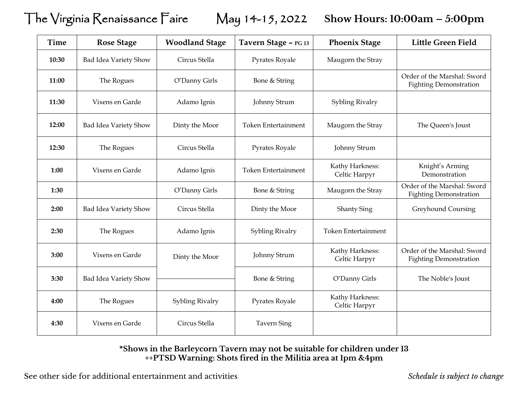The Virginia Renaissance Faire May 14-15, 2022 **Show Hours: 10:00am – 5:00pm**

| <b>Time</b> | <b>Rose Stage</b>     | <b>Woodland Stage</b> | Tavern Stage - PG 13       | <b>Phoenix Stage</b>             | <b>Little Green Field</b>                                    |
|-------------|-----------------------|-----------------------|----------------------------|----------------------------------|--------------------------------------------------------------|
| 10:30       | Bad Idea Variety Show | Circus Stella         | Pyrates Royale             | Maugorn the Stray                |                                                              |
| 11:00       | The Rogues            | O'Danny Girls         | Bone & String              |                                  | Order of the Marshal: Sword<br><b>Fighting Demonstration</b> |
| 11:30       | Vixens en Garde       | Adamo Ignis           | Johnny Strum               | Sybling Rivalry                  |                                                              |
| 12:00       | Bad Idea Variety Show | Dinty the Moor        | <b>Token Entertainment</b> | Maugorn the Stray                | The Queen's Joust                                            |
| 12:30       | The Rogues            | Circus Stella         | Pyrates Royale             | Johnny Strum                     |                                                              |
| 1:00        | Vixens en Garde       | Adamo Ignis           | <b>Token Entertainment</b> | Kathy Harkness:<br>Celtic Harpyr | Knight's Arming<br>Demonstration                             |
| 1:30        |                       | O'Danny Girls         | Bone & String              | Maugorn the Stray                | Order of the Marshal: Sword<br><b>Fighting Demonstration</b> |
| 2:00        | Bad Idea Variety Show | Circus Stella         | Dinty the Moor             | <b>Shanty Sing</b>               | Greyhound Coursing                                           |
| 2:30        | The Rogues            | Adamo Ignis           | Sybling Rivalry            | <b>Token Entertainment</b>       |                                                              |
| 3:00        | Vixens en Garde       | Dinty the Moor        | Johnny Strum               | Kathy Harkness:<br>Celtic Harpyr | Order of the Marshal: Sword<br><b>Fighting Demonstration</b> |
| 3:30        | Bad Idea Variety Show |                       | Bone & String              | O'Danny Girls                    | The Noble's Joust                                            |
| 4:00        | The Rogues            | Sybling Rivalry       | Pyrates Royale             | Kathy Harkness:<br>Celtic Harpyr |                                                              |
| 4:30        | Vixens en Garde       | Circus Stella         | <b>Tavern Sing</b>         |                                  |                                                              |

## **\*Shows in the Barleycorn Tavern may not be suitable for children under 13 ++PTSD Warning: Shots fired in the Militia area at 1pm &4pm**

See other side for additional entertainment and activities *Schedule is subject to change*